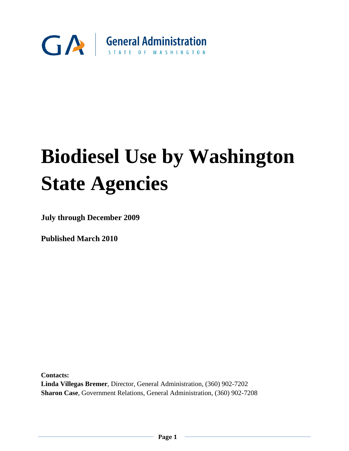

# **Biodiesel Use by Washington State Agencies**

**July through December 2009**

**Published March 2010**

**Contacts: Linda Villegas Bremer**, Director, General Administration, (360) 902-7202 **Sharon Case**, Government Relations, General Administration, (360) 902-7208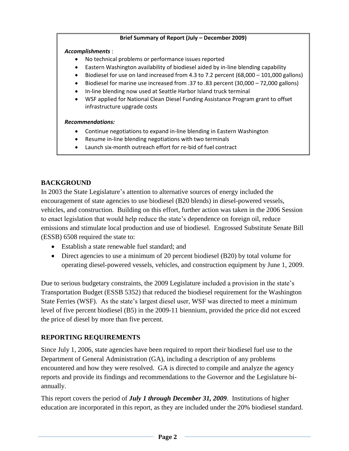## **Brief Summary of Report (July – December 2009)**

*Accomplishments* :

- No technical problems or performance issues reported
- Eastern Washington availability of biodiesel aided by in-line blending capability
- Biodiesel for use on land increased from 4.3 to 7.2 percent (68,000 101,000 gallons)
- Biodiesel for marine use increased from .37 to .83 percent (30,000 72,000 gallons)
- In-line blending now used at Seattle Harbor Island truck terminal
- WSF applied for National Clean Diesel Funding Assistance Program grant to offset infrastructure upgrade costs

#### *Recommendations:*

- Continue negotiations to expand in-line blending in Eastern Washington
- Resume in-line blending negotiations with two terminals
- Launch six-month outreach effort for re-bid of fuel contract

# **BACKGROUND**

In 2003 the State Legislature's attention to alternative sources of energy included the encouragement of state agencies to use biodiesel (B20 blends) in diesel-powered vessels, vehicles, and construction. Building on this effort, further action was taken in the 2006 Session to enact legislation that would help reduce the state's dependence on foreign oil, reduce emissions and stimulate local production and use of biodiesel. Engrossed Substitute Senate Bill (ESSB) 6508 required the state to:

- Establish a state renewable fuel standard; and
- Direct agencies to use a minimum of 20 percent biodiesel (B20) by total volume for operating diesel-powered vessels, vehicles, and construction equipment by June 1, 2009.

Due to serious budgetary constraints, the 2009 Legislature included a provision in the state's Transportation Budget (ESSB 5352) that reduced the biodiesel requirement for the Washington State Ferries (WSF). As the state's largest diesel user, WSF was directed to meet a minimum level of five percent biodiesel (B5) in the 2009-11 biennium, provided the price did not exceed the price of diesel by more than five percent.

# **REPORTING REQUIREMENTS**

Since July 1, 2006, state agencies have been required to report their biodiesel fuel use to the Department of General Administration (GA), including a description of any problems encountered and how they were resolved. GA is directed to compile and analyze the agency reports and provide its findings and recommendations to the Governor and the Legislature biannually.

This report covers the period of *July 1 through December 31, 2009*. Institutions of higher education are incorporated in this report, as they are included under the 20% biodiesel standard.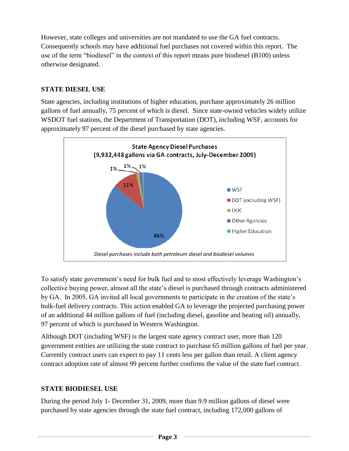However, state colleges and universities are not mandated to use the GA fuel contracts. Consequently schools may have additional fuel purchases not covered within this report. The use of the term "biodiesel" in the context of this report means pure biodiesel (B100) unless otherwise designated.

# **STATE DIESEL USE**

State agencies, including institutions of higher education, purchase approximately 26 million gallons of fuel annually, 75 percent of which is diesel. Since state-owned vehicles widely utilize WSDOT fuel stations, the Department of Transportation (DOT), including WSF, accounts for approximately 97 percent of the diesel purchased by state agencies.



To satisfy state government's need for bulk fuel and to most effectively leverage Washington's collective buying power, almost all the state's diesel is purchased through contracts administered by GA. In 2005, GA invited all local governments to participate in the creation of the state's bulk-fuel delivery contracts. This action enabled GA to leverage the projected purchasing power of an additional 44 million gallons of fuel (including diesel, gasoline and heating oil) annually, 97 percent of which is purchased in Western Washington.

Although DOT (including WSF) is the largest state agency contract user, more than 120 government entities are utilizing the state contract to purchase 65 million gallons of fuel per year. Currently contract users can expect to pay 11 cents less per gallon than retail. A client agency contract adoption rate of almost 99 percent further confirms the value of the state fuel contract.

# **STATE BIODIESEL USE**

During the period July 1- December 31, 2009, more than 9.9 million gallons of diesel were purchased by state agencies through the state fuel contract, including 172,000 gallons of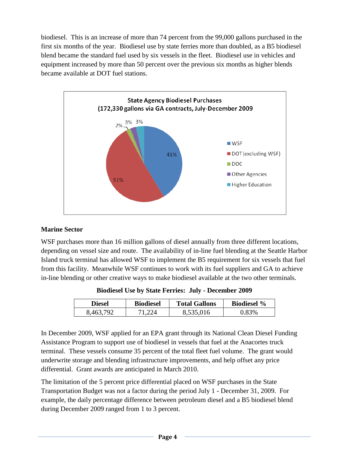biodiesel. This is an increase of more than 74 percent from the 99,000 gallons purchased in the first six months of the year. Biodiesel use by state ferries more than doubled, as a B5 biodiesel blend became the standard fuel used by six vessels in the fleet. Biodiesel use in vehicles and equipment increased by more than 50 percent over the previous six months as higher blends became available at DOT fuel stations.



## **Marine Sector**

WSF purchases more than 16 million gallons of diesel annually from three different locations, depending on vessel size and route. The availability of in-line fuel blending at the Seattle Harbor Island truck terminal has allowed WSF to implement the B5 requirement for six vessels that fuel from this facility. Meanwhile WSF continues to work with its fuel suppliers and GA to achieve in-line blending or other creative ways to make biodiesel available at the two other terminals.

| Diesel    | <b>Biodiesel</b> | <b>Total Gallons</b> | <b>Biodiesel %</b> |
|-----------|------------------|----------------------|--------------------|
| 8,463,792 |                  | 8,535,016            | .) 83%             |

**Biodiesel Use by State Ferries: July - December 2009**

In December 2009, WSF applied for an EPA grant through its National Clean Diesel Funding Assistance Program to support use of biodiesel in vessels that fuel at the Anacortes truck terminal. These vessels consume 35 percent of the total fleet fuel volume. The grant would underwrite storage and blending infrastructure improvements, and help offset any price differential. Grant awards are anticipated in March 2010.

The limitation of the 5 percent price differential placed on WSF purchases in the State Transportation Budget was not a factor during the period July 1 - December 31, 2009. For example, the daily percentage difference between petroleum diesel and a B5 biodiesel blend during December 2009 ranged from 1 to 3 percent.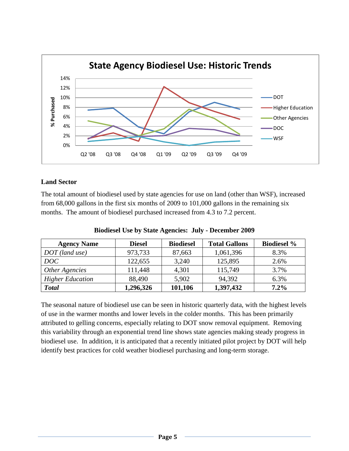

## **Land Sector**

The total amount of biodiesel used by state agencies for use on land (other than WSF), increased from 68,000 gallons in the first six months of 2009 to 101,000 gallons in the remaining six months. The amount of biodiesel purchased increased from 4.3 to 7.2 percent.

| <b>Agency Name</b>      | <b>Diesel</b> | <b>Biodiesel</b> | <b>Total Gallons</b> | <b>Biodiesel %</b> |
|-------------------------|---------------|------------------|----------------------|--------------------|
| $DOT$ (land use)        | 973,733       | 87,663           | 1,061,396            | 8.3%               |
| DOC                     | 122,655       | 3,240            | 125,895              | 2.6%               |
| Other Agencies          | 111,448       | 4,301            | 115,749              | 3.7%               |
| <b>Higher Education</b> | 88,490        | 5,902            | 94.392               | 6.3%               |
| <b>Total</b>            | 1,296,326     | 101,106          | 1,397,432            | 7.2%               |

#### **Biodiesel Use by State Agencies: July - December 2009**

The seasonal nature of biodiesel use can be seen in historic quarterly data, with the highest levels of use in the warmer months and lower levels in the colder months. This has been primarily attributed to gelling concerns, especially relating to DOT snow removal equipment. Removing this variability through an exponential trend line shows state agencies making steady progress in biodiesel use. In addition, it is anticipated that a recently initiated pilot project by DOT will help identify best practices for cold weather biodiesel purchasing and long-term storage.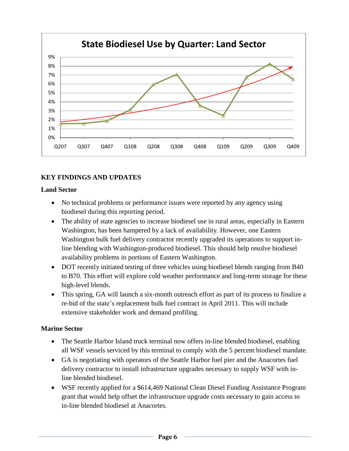

# **KEY FINDINGS AND UPDATES**

## **Land Sector**

- No technical problems or performance issues were reported by any agency using biodiesel during this reporting period.
- The ability of state agencies to increase biodiesel use in rural areas, especially in Eastern Washington, has been hampered by a lack of availability. However, one Eastern Washington bulk fuel delivery contractor recently upgraded its operations to support inline blending with Washington-produced biodiesel. This should help resolve biodiesel availability problems in portions of Eastern Washington.
- DOT recently initiated testing of three vehicles using biodiesel blends ranging from B40 to B70. This effort will explore cold weather performance and long-term storage for these high-level blends.
- This spring, GA will launch a six-month outreach effort as part of its process to finalize a re-bid of the state's replacement bulk fuel contract in April 2011. This will include extensive stakeholder work and demand profiling.

# **Marine Sector**

- The Seattle Harbor Island truck terminal now offers in-line blended biodiesel, enabling all WSF vessels serviced by this terminal to comply with the 5 percent biodiesel mandate.
- GA is negotiating with operators of the Seattle Harbor fuel pier and the Anacortes fuel delivery contractor to install infrastructure upgrades necessary to supply WSF with inline blended biodiesel.
- WSF recently applied for a \$614,469 National Clean Diesel Funding Assistance Program grant that would help offset the infrastructure upgrade costs necessary to gain access to in-line blended biodiesel at Anacortes.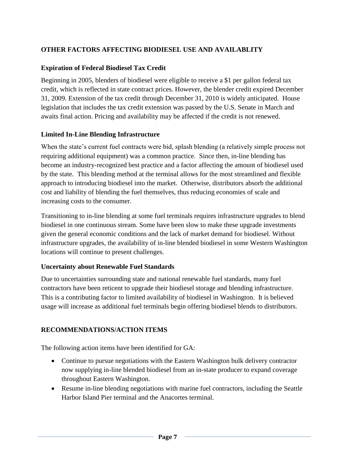# **OTHER FACTORS AFFECTING BIODIESEL USE AND AVAILABLITY**

## **Expiration of Federal Biodiesel Tax Credit**

Beginning in 2005, blenders of biodiesel were eligible to receive a \$1 per gallon federal tax credit, which is reflected in state contract prices. However, the blender credit expired December 31, 2009. Extension of the tax credit through December 31, 2010 is widely anticipated. House legislation that includes the tax credit extension was passed by the U.S. Senate in March and awaits final action. Pricing and availability may be affected if the credit is not renewed.

## **Limited In-Line Blending Infrastructure**

When the state's current fuel contracts were bid, splash blending (a relatively simple process not requiring additional equipment) was a common practice. Since then, in-line blending has become an industry-recognized best practice and a factor affecting the amount of biodiesel used by the state. This blending method at the terminal allows for the most streamlined and flexible approach to introducing biodiesel into the market. Otherwise, distributors absorb the additional cost and liability of blending the fuel themselves, thus reducing economies of scale and increasing costs to the consumer.

Transitioning to in-line blending at some fuel terminals requires infrastructure upgrades to blend biodiesel in one continuous stream. Some have been slow to make these upgrade investments given the general economic conditions and the lack of market demand for biodiesel. Without infrastructure upgrades, the availability of in-line blended biodiesel in some Western Washington locations will continue to present challenges.

## **Uncertainty about Renewable Fuel Standards**

Due to uncertainties surrounding state and national renewable fuel standards, many fuel contractors have been reticent to upgrade their biodiesel storage and blending infrastructure. This is a contributing factor to limited availability of biodiesel in Washington. It is believed usage will increase as additional fuel terminals begin offering biodiesel blends to distributors.

## **RECOMMENDATIONS/ACTION ITEMS**

The following action items have been identified for GA:

- Continue to pursue negotiations with the Eastern Washington bulk delivery contractor now supplying in-line blended biodiesel from an in-state producer to expand coverage throughout Eastern Washington.
- Resume in-line blending negotiations with marine fuel contractors, including the Seattle Harbor Island Pier terminal and the Anacortes terminal.